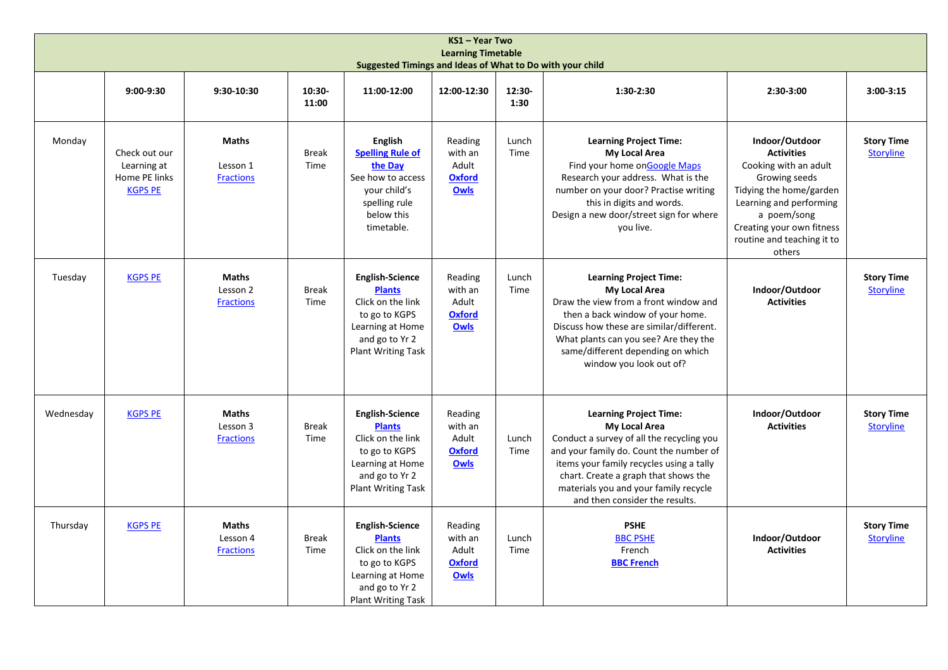| KS1 - Year Two<br><b>Learning Timetable</b><br>Suggested Timings and Ideas of What to Do with your child |                                                                 |                                              |                      |                                                                                                                                                  |                                                             |                |                                                                                                                                                                                                                                                                                                              |                                                                                                                                                                                                                         |                                       |  |
|----------------------------------------------------------------------------------------------------------|-----------------------------------------------------------------|----------------------------------------------|----------------------|--------------------------------------------------------------------------------------------------------------------------------------------------|-------------------------------------------------------------|----------------|--------------------------------------------------------------------------------------------------------------------------------------------------------------------------------------------------------------------------------------------------------------------------------------------------------------|-------------------------------------------------------------------------------------------------------------------------------------------------------------------------------------------------------------------------|---------------------------------------|--|
|                                                                                                          | $9:00-9:30$                                                     | 9:30-10:30                                   | 10:30-<br>11:00      | 11:00-12:00                                                                                                                                      | 12:00-12:30                                                 | 12:30-<br>1:30 | 1:30-2:30                                                                                                                                                                                                                                                                                                    | 2:30-3:00                                                                                                                                                                                                               | $3:00-3:15$                           |  |
| Monday                                                                                                   | Check out our<br>Learning at<br>Home PE links<br><b>KGPS PE</b> | <b>Maths</b><br>Lesson 1<br><b>Fractions</b> | <b>Break</b><br>Time | <b>English</b><br><b>Spelling Rule of</b><br>the Day<br>See how to access<br>your child's<br>spelling rule<br>below this<br>timetable.           | Reading<br>with an<br>Adult<br><b>Oxford</b><br><b>Owls</b> | Lunch<br>Time  | <b>Learning Project Time:</b><br><b>My Local Area</b><br>Find your home onGoogle Maps<br>Research your address. What is the<br>number on your door? Practise writing<br>this in digits and words.<br>Design a new door/street sign for where<br>you live.                                                    | Indoor/Outdoor<br><b>Activities</b><br>Cooking with an adult<br>Growing seeds<br>Tidying the home/garden<br>Learning and performing<br>a poem/song<br>Creating your own fitness<br>routine and teaching it to<br>others | <b>Story Time</b><br>Storyline        |  |
| Tuesday                                                                                                  | <b>KGPS PE</b>                                                  | <b>Maths</b><br>Lesson 2<br><b>Fractions</b> | <b>Break</b><br>Time | <b>English-Science</b><br><b>Plants</b><br>Click on the link<br>to go to KGPS<br>Learning at Home<br>and go to Yr 2<br><b>Plant Writing Task</b> | Reading<br>with an<br>Adult<br><b>Oxford</b><br>Owls        | Lunch<br>Time  | <b>Learning Project Time:</b><br>My Local Area<br>Draw the view from a front window and<br>then a back window of your home.<br>Discuss how these are similar/different.<br>What plants can you see? Are they the<br>same/different depending on which<br>window you look out of?                             | Indoor/Outdoor<br><b>Activities</b>                                                                                                                                                                                     | <b>Story Time</b><br>Storyline        |  |
| Wednesday                                                                                                | <b>KGPS PE</b>                                                  | <b>Maths</b><br>Lesson 3<br><b>Fractions</b> | <b>Break</b><br>Time | <b>English-Science</b><br><b>Plants</b><br>Click on the link<br>to go to KGPS<br>Learning at Home<br>and go to Yr 2<br><b>Plant Writing Task</b> | Reading<br>with an<br>Adult<br><b>Oxford</b><br><b>Owls</b> | Lunch<br>Time  | <b>Learning Project Time:</b><br><b>My Local Area</b><br>Conduct a survey of all the recycling you<br>and your family do. Count the number of<br>items your family recycles using a tally<br>chart. Create a graph that shows the<br>materials you and your family recycle<br>and then consider the results. | Indoor/Outdoor<br><b>Activities</b>                                                                                                                                                                                     | <b>Story Time</b><br><b>Storyline</b> |  |
| Thursday                                                                                                 | <b>KGPS PE</b>                                                  | <b>Maths</b><br>Lesson 4<br><b>Fractions</b> | <b>Break</b><br>Time | <b>English-Science</b><br><b>Plants</b><br>Click on the link<br>to go to KGPS<br>Learning at Home<br>and go to Yr 2<br><b>Plant Writing Task</b> | Reading<br>with an<br>Adult<br><b>Oxford</b><br>Owls        | Lunch<br>Time  | <b>PSHE</b><br><b>BBC PSHE</b><br>French<br><b>BBC French</b>                                                                                                                                                                                                                                                | Indoor/Outdoor<br><b>Activities</b>                                                                                                                                                                                     | <b>Story Time</b><br><b>Storyline</b> |  |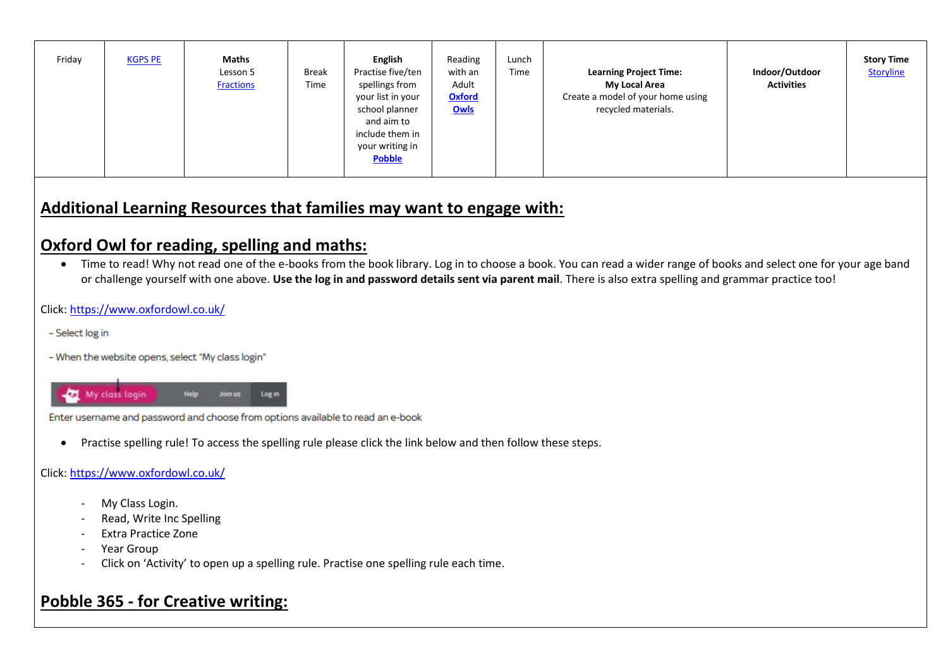| Friday<br><b>Maths</b><br>Reading<br><b>English</b><br><b>KGPS PE</b><br>Lunch<br>Time<br>with an<br>Indoor/Outdoor<br>Practise five/ten<br>Break<br>Lesson 5<br><b>Learning Project Time:</b><br>Adult<br>Time<br>spellings from<br>My Local Area<br><b>Activities</b><br><b>Fractions</b><br>Create a model of your home using<br><b>Oxford</b><br>your list in your<br>Owls<br>recycled materials.<br>school planner<br>and aim to<br>include them in<br>your writing in<br><b>Pobble</b> | <b>Story Time</b><br>Storyline |
|----------------------------------------------------------------------------------------------------------------------------------------------------------------------------------------------------------------------------------------------------------------------------------------------------------------------------------------------------------------------------------------------------------------------------------------------------------------------------------------------|--------------------------------|

# **Additional Learning Resources that families may want to engage with:**

# **Oxford Owl for reading, spelling and maths:**

• Time to read! Why not read one of the e-books from the book library. Log in to choose a book. You can read a wider range of books and select one for your age band or challenge yourself with one above. **Use the log in and password details sent via parent mail**. There is also extra spelling and grammar practice too!

### Click:<https://www.oxfordowl.co.uk/>

- Select log in
- When the website opens, select "My class login"



Enter username and password and choose from options available to read an e-book

Practise spelling rule! To access the spelling rule please click the link below and then follow these steps.

### Click:<https://www.oxfordowl.co.uk/>

- My Class Login.
- Read, Write Inc Spelling
- Extra Practice Zone
- Year Group
- Click on 'Activity' to open up a spelling rule. Practise one spelling rule each time.

# **Pobble 365 - for Creative writing:**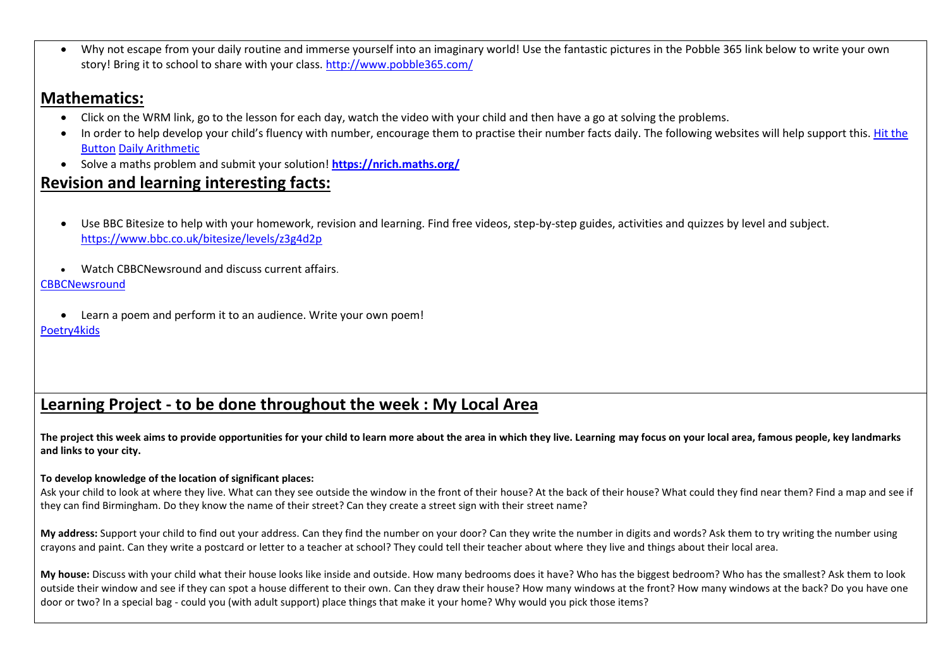Why not escape from your daily routine and immerse yourself into an imaginary world! Use the fantastic pictures in the Pobble 365 link below to write your own story! Bring it to school to share with your class. <http://www.pobble365.com/>

### **Mathematics:**

- Click on the WRM link, go to the lesson for each day, watch the video with your child and then have a go at solving the problems.
- In order to help develop your child's fluency with number, encourage them to practise their number facts daily. The following websites will help support this. Hit the [Button](https://www.topmarks.co.uk/maths-games/hit-the-button) [Daily Arithmetic](https://www.topmarks.co.uk/maths-games/daily10)
- Solve a maths problem and submit your solution! **<https://nrich.maths.org/>**

# **Revision and learning interesting facts:**

 Use BBC Bitesize to help with your homework, revision and learning. Find free videos, step-by-step guides, activities and quizzes by level and subject. <https://www.bbc.co.uk/bitesize/levels/z3g4d2p>

Watch CBBCNewsround and discuss current affairs.

**[CBBCNewsround](https://www.bbc.co.uk/newsround)** 

 Learn a poem and perform it to an audience. Write your own poem! [Poetry4kids](https://www.poetry4kids.com/)

# **Learning Project - to be done throughout the week : My Local Area**

**The project this week aims to provide opportunities for your child to learn more about the area in which they live. Learning may focus on your local area, famous people, key landmarks and links to your city.**

### **To develop knowledge of the location of significant places:**

Ask your child to look at where they live. What can they see outside the window in the front of their house? At the back of their house? What could they find near them? Find a map and see if they can find Birmingham. Do they know the name of their street? Can they create a street sign with their street name?

**My address:** Support your child to find out your address. Can they find the number on your door? Can they write the number in digits and words? Ask them to try writing the number using crayons and paint. Can they write a postcard or letter to a teacher at school? They could tell their teacher about where they live and things about their local area.

**My house:** Discuss with your child what their house looks like inside and outside. How many bedrooms does it have? Who has the biggest bedroom? Who has the smallest? Ask them to look outside their window and see if they can spot a house different to their own. Can they draw their house? How many windows at the front? How many windows at the back? Do you have one door or two? In a special bag - could you (with adult support) place things that make it your home? Why would you pick those items?